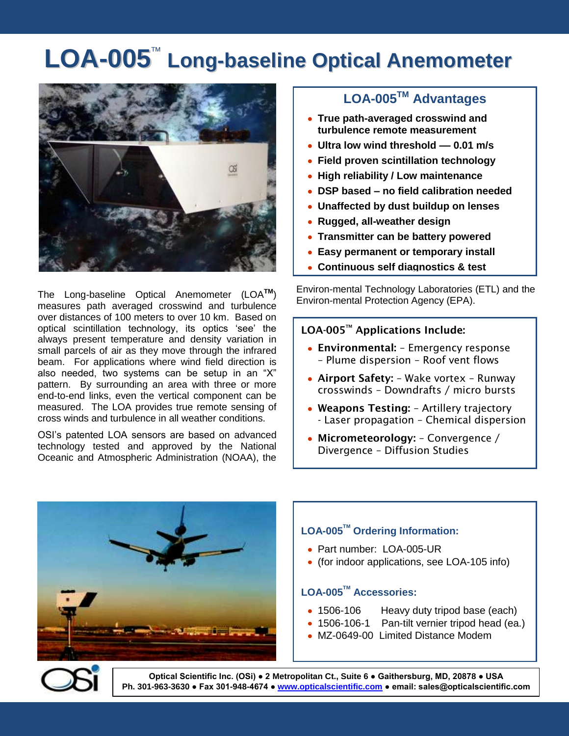# LOA-005<sup>™</sup> Long-baseline Optical Anemometer



The Long-baseline Optical Anemometer (LOA**TM**) measures path averaged crosswind and turbulence over distances of 100 meters to over 10 km. Based on optical scintillation technology, its optics 'see' the always present temperature and density variation in small parcels of air as they move through the infrared beam. For applications where wind field direction is also needed, two systems can be setup in an "X" pattern. By surrounding an area with three or more end-to-end links, even the vertical component can be measured. The LOA provides true remote sensing of cross winds and turbulence in all weather conditions.

OSI's patented LOA sensors are based on advanced technology tested and approved by the National Oceanic and Atmospheric Administration (NOAA), the

### **LOA-005TM Advantages**

- **True path-averaged crosswind and turbulence remote measurement**
- **Ultra low wind threshold –– 0.01 m/s**
- **Field proven scintillation technology**
- **High reliability / Low maintenance**
- **DSP based – no field calibration needed**
- **Unaffected by dust buildup on lenses**
- **Rugged, all-weather design**
- **Transmitter can be battery powered**
- **Easy permanent or temporary install**
- **Continuous self diagnostics & test**

Environ-mental Technology Laboratories (ETL) and the Environ-mental Protection Agency (EPA).

#### **LOA-005TM Applications Include:**

- **Environmental:** Emergency response – Plume dispersion – Roof vent flows
- **Airport Safety:** Wake vortex Runway crosswinds – Downdrafts / micro bursts
- **Weapons Testing:** Artillery trajectory - Laser propagation – Chemical dispersion
- **Micrometeorology:** Convergence / Divergence – Diffusion Studies



## **LOA-005TM Ordering Information:**

- Part number: LOA-005-UR
- (for indoor applications, see LOA-105 info)

#### **LOA-005TM Accessories:**

- 1506-106 Heavy duty tripod base (each)
- 1506-106-1 Pan-tilt vernier tripod head (ea.)
- MZ-0649-00 Limited Distance Modem



**Optical Scientific Inc. (OSi) ● 2 Metropolitan Ct., Suite 6 ● Gaithersburg, MD, 20878 ● USA Ph. 301-963-3630 ● Fax 301-948-4674 ● www.opticalscientific.com ● email: sales@opticalscientific.com**